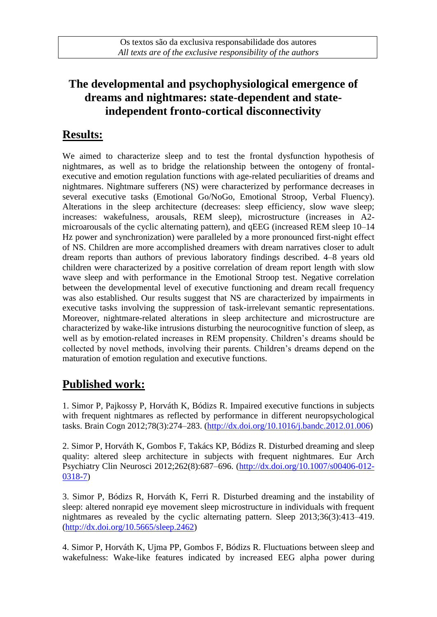## **The developmental and psychophysiological emergence of dreams and nightmares: state-dependent and stateindependent fronto-cortical disconnectivity**

## **Results:**

We aimed to characterize sleep and to test the frontal dysfunction hypothesis of nightmares, as well as to bridge the relationship between the ontogeny of frontalexecutive and emotion regulation functions with age-related peculiarities of dreams and nightmares. Nightmare sufferers (NS) were characterized by performance decreases in several executive tasks (Emotional Go/NoGo, Emotional Stroop, Verbal Fluency). Alterations in the sleep architecture (decreases: sleep efficiency, slow wave sleep; increases: wakefulness, arousals, REM sleep), microstructure (increases in A2 microarousals of the cyclic alternating pattern), and qEEG (increased REM sleep 10–14 Hz power and synchronization) were paralleled by a more pronounced first-night effect of NS. Children are more accomplished dreamers with dream narratives closer to adult dream reports than authors of previous laboratory findings described. 4–8 years old children were characterized by a positive correlation of dream report length with slow wave sleep and with performance in the Emotional Stroop test. Negative correlation between the developmental level of executive functioning and dream recall frequency was also established. Our results suggest that NS are characterized by impairments in executive tasks involving the suppression of task-irrelevant semantic representations. Moreover, nightmare-related alterations in sleep architecture and microstructure are characterized by wake-like intrusions disturbing the neurocognitive function of sleep, as well as by emotion-related increases in REM propensity. Children's dreams should be collected by novel methods, involving their parents. Children's dreams depend on the maturation of emotion regulation and executive functions.

# **Published work:**

1. Simor P, Pajkossy P, Horváth K, Bódizs R. Impaired executive functions in subjects with frequent nightmares as reflected by performance in different neuropsychological tasks. Brain Cogn 2012;78(3):274–283. [\(http://dx.doi.org/10.1016/j.bandc.2012.01.006\)](http://dx.doi.org/10.1016/j.bandc.2012.01.006)

2. Simor P, Horváth K, Gombos F, Takács KP, Bódizs R. Disturbed dreaming and sleep quality: altered sleep architecture in subjects with frequent nightmares. Eur Arch Psychiatry Clin Neurosci 2012;262(8):687–696. [\(http://dx.doi.org/10.1007/s00406-012-](http://dx.doi.org/10.1007/s00406-012-0318-7) [0318-7\)](http://dx.doi.org/10.1007/s00406-012-0318-7)

3. Simor P, Bódizs R, Horváth K, Ferri R. Disturbed dreaming and the instability of sleep: altered nonrapid eye movement sleep microstructure in individuals with frequent nightmares as revealed by the cyclic alternating pattern. Sleep 2013;36(3):413–419. [\(http://dx.doi.org/10.5665/sleep.2462\)](http://dx.doi.org/10.5665/sleep.2462)

4. Simor P, Horváth K, Ujma PP, Gombos F, Bódizs R. Fluctuations between sleep and wakefulness: Wake-like features indicated by increased EEG alpha power during